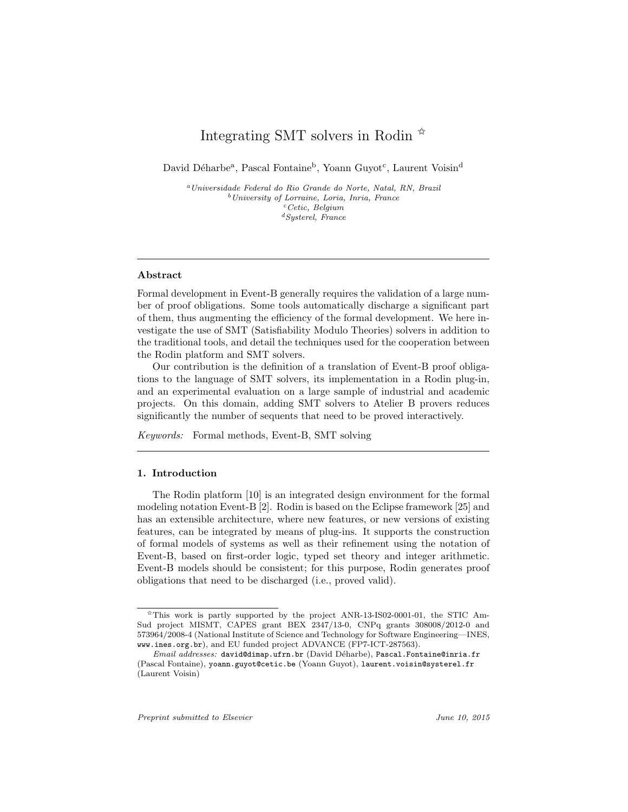# Integrating SMT solvers in Rodin  $\mathbb{\hat{R}}$

David Déharbe<sup>a</sup>, Pascal Fontaine<sup>b</sup>, Yoann Guyot<sup>c</sup>, Laurent Voisin<sup>d</sup>

<sup>a</sup>Universidade Federal do Rio Grande do Norte, Natal, RN, Brazil <sup>b</sup>University of Lorraine, Loria, Inria, France  $c$ Cetic, Belgium  $dSusterel, France$ 

# Abstract

Formal development in Event-B generally requires the validation of a large number of proof obligations. Some tools automatically discharge a significant part of them, thus augmenting the efficiency of the formal development. We here investigate the use of SMT (Satisfiability Modulo Theories) solvers in addition to the traditional tools, and detail the techniques used for the cooperation between the Rodin platform and SMT solvers.

Our contribution is the definition of a translation of Event-B proof obligations to the language of SMT solvers, its implementation in a Rodin plug-in, and an experimental evaluation on a large sample of industrial and academic projects. On this domain, adding SMT solvers to Atelier B provers reduces significantly the number of sequents that need to be proved interactively.

Keywords: Formal methods, Event-B, SMT solving

# 1. Introduction

The Rodin platform [10] is an integrated design environment for the formal modeling notation Event-B [2]. Rodin is based on the Eclipse framework [25] and has an extensible architecture, where new features, or new versions of existing features, can be integrated by means of plug-ins. It supports the construction of formal models of systems as well as their refinement using the notation of Event-B, based on first-order logic, typed set theory and integer arithmetic. Event-B models should be consistent; for this purpose, Rodin generates proof obligations that need to be discharged (i.e., proved valid).

<sup>✩</sup>This work is partly supported by the project ANR-13-IS02-0001-01, the STIC Am-Sud project MISMT, CAPES grant BEX 2347/13-0, CNPq grants 308008/2012-0 and 573964/2008-4 (National Institute of Science and Technology for Software Engineering—INES, www.ines.org.br), and EU funded project ADVANCE (FP7-ICT-287563).

Email addresses: david@dimap.ufrn.br (David Déharbe), Pascal.Fontaine@inria.fr (Pascal Fontaine), yoann.guyot@cetic.be (Yoann Guyot), laurent.voisin@systerel.fr (Laurent Voisin)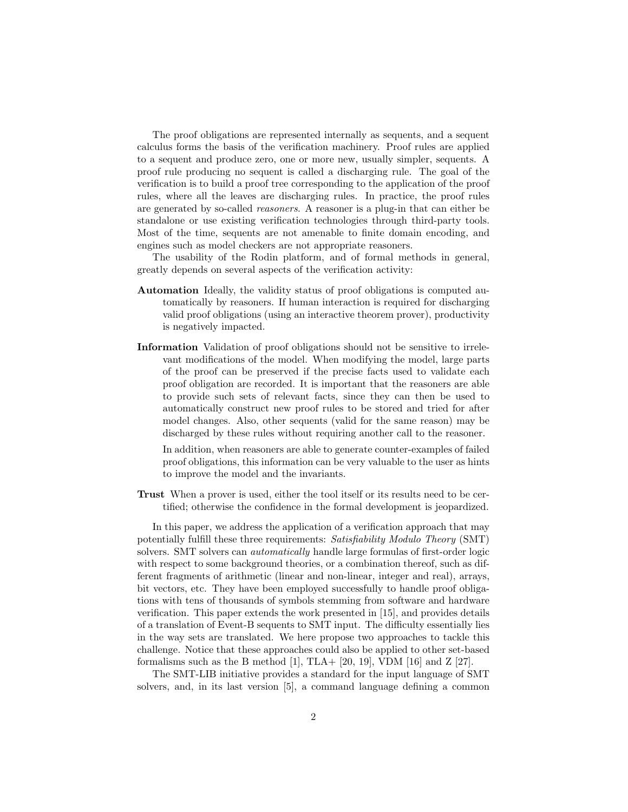The proof obligations are represented internally as sequents, and a sequent calculus forms the basis of the verification machinery. Proof rules are applied to a sequent and produce zero, one or more new, usually simpler, sequents. A proof rule producing no sequent is called a discharging rule. The goal of the verification is to build a proof tree corresponding to the application of the proof rules, where all the leaves are discharging rules. In practice, the proof rules are generated by so-called reasoners. A reasoner is a plug-in that can either be standalone or use existing verification technologies through third-party tools. Most of the time, sequents are not amenable to finite domain encoding, and engines such as model checkers are not appropriate reasoners.

The usability of the Rodin platform, and of formal methods in general, greatly depends on several aspects of the verification activity:

- Automation Ideally, the validity status of proof obligations is computed automatically by reasoners. If human interaction is required for discharging valid proof obligations (using an interactive theorem prover), productivity is negatively impacted.
- Information Validation of proof obligations should not be sensitive to irrelevant modifications of the model. When modifying the model, large parts of the proof can be preserved if the precise facts used to validate each proof obligation are recorded. It is important that the reasoners are able to provide such sets of relevant facts, since they can then be used to automatically construct new proof rules to be stored and tried for after model changes. Also, other sequents (valid for the same reason) may be discharged by these rules without requiring another call to the reasoner.

In addition, when reasoners are able to generate counter-examples of failed proof obligations, this information can be very valuable to the user as hints to improve the model and the invariants.

Trust When a prover is used, either the tool itself or its results need to be certified; otherwise the confidence in the formal development is jeopardized.

In this paper, we address the application of a verification approach that may potentially fulfill these three requirements: Satisfiability Modulo Theory (SMT) solvers. SMT solvers can *automatically* handle large formulas of first-order logic with respect to some background theories, or a combination thereof, such as different fragments of arithmetic (linear and non-linear, integer and real), arrays, bit vectors, etc. They have been employed successfully to handle proof obligations with tens of thousands of symbols stemming from software and hardware verification. This paper extends the work presented in [15], and provides details of a translation of Event-B sequents to SMT input. The difficulty essentially lies in the way sets are translated. We here propose two approaches to tackle this challenge. Notice that these approaches could also be applied to other set-based formalisms such as the B method [1],  $TLA + [20, 19]$ , VDM [16] and Z [27].

The SMT-LIB initiative provides a standard for the input language of SMT solvers, and, in its last version [5], a command language defining a common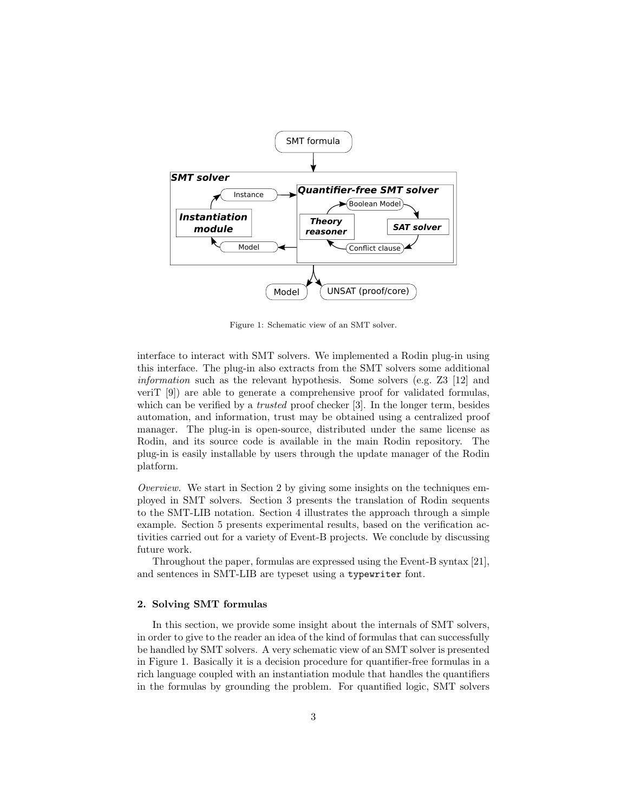

Figure 1: Schematic view of an SMT solver.

interface to interact with SMT solvers. We implemented a Rodin plug-in using this interface. The plug-in also extracts from the SMT solvers some additional information such as the relevant hypothesis. Some solvers (e.g. Z3 [12] and veriT [9]) are able to generate a comprehensive proof for validated formulas, which can be verified by a trusted proof checker [3]. In the longer term, besides automation, and information, trust may be obtained using a centralized proof manager. The plug-in is open-source, distributed under the same license as Rodin, and its source code is available in the main Rodin repository. The plug-in is easily installable by users through the update manager of the Rodin platform.

Overview. We start in Section 2 by giving some insights on the techniques employed in SMT solvers. Section 3 presents the translation of Rodin sequents to the SMT-LIB notation. Section 4 illustrates the approach through a simple example. Section 5 presents experimental results, based on the verification activities carried out for a variety of Event-B projects. We conclude by discussing future work.

Throughout the paper, formulas are expressed using the Event-B syntax [21], and sentences in SMT-LIB are typeset using a typewriter font.

# 2. Solving SMT formulas

In this section, we provide some insight about the internals of SMT solvers, in order to give to the reader an idea of the kind of formulas that can successfully be handled by SMT solvers. A very schematic view of an SMT solver is presented in Figure 1. Basically it is a decision procedure for quantifier-free formulas in a rich language coupled with an instantiation module that handles the quantifiers in the formulas by grounding the problem. For quantified logic, SMT solvers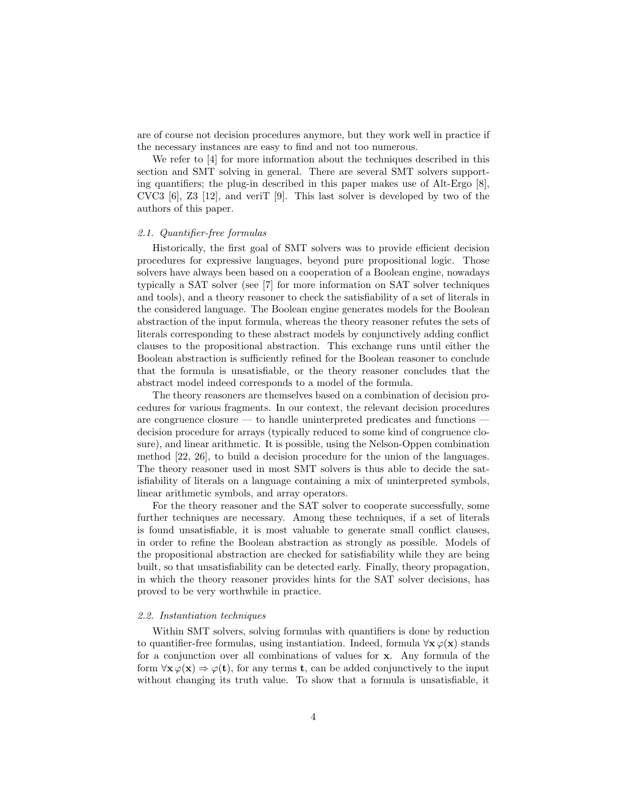are of course not decision procedures anymore, but they work well in practice if the necessary instances are easy to find and not too numerous.

We refer to [4] for more information about the techniques described in this section and SMT solving in general. There are several SMT solvers supporting quantifiers; the plug-in described in this paper makes use of Alt-Ergo [8], CVC3 [6], Z3 [12], and veriT [9]. This last solver is developed by two of the authors of this paper.

#### 2.1. Quantifier-free formulas

Historically, the first goal of SMT solvers was to provide efficient decision procedures for expressive languages, beyond pure propositional logic. Those solvers have always been based on a cooperation of a Boolean engine, nowadays typically a SAT solver (see [7] for more information on SAT solver techniques and tools), and a theory reasoner to check the satisfiability of a set of literals in the considered language. The Boolean engine generates models for the Boolean abstraction of the input formula, whereas the theory reasoner refutes the sets of literals corresponding to these abstract models by conjunctively adding conflict clauses to the propositional abstraction. This exchange runs until either the Boolean abstraction is sufficiently refined for the Boolean reasoner to conclude that the formula is unsatisfiable, or the theory reasoner concludes that the abstract model indeed corresponds to a model of the formula.

The theory reasoners are themselves based on a combination of decision procedures for various fragments. In our context, the relevant decision procedures are congruence closure — to handle uninterpreted predicates and functions  $\overline{\phantom{a}}$ decision procedure for arrays (typically reduced to some kind of congruence closure), and linear arithmetic. It is possible, using the Nelson-Oppen combination method [22, 26], to build a decision procedure for the union of the languages. The theory reasoner used in most SMT solvers is thus able to decide the satisfiability of literals on a language containing a mix of uninterpreted symbols, linear arithmetic symbols, and array operators.

For the theory reasoner and the SAT solver to cooperate successfully, some further techniques are necessary. Among these techniques, if a set of literals is found unsatisfiable, it is most valuable to generate small conflict clauses, in order to refine the Boolean abstraction as strongly as possible. Models of the propositional abstraction are checked for satisfiability while they are being built, so that unsatisfiability can be detected early. Finally, theory propagation, in which the theory reasoner provides hints for the SAT solver decisions, has proved to be very worthwhile in practice.

#### 2.2. Instantiation techniques

Within SMT solvers, solving formulas with quantifiers is done by reduction to quantifier-free formulas, using instantiation. Indeed, formula  $\forall x \varphi(x)$  stands for a conjunction over all combinations of values for x. Any formula of the form  $\forall x \varphi(x) \Rightarrow \varphi(t)$ , for any terms t, can be added conjunctively to the input without changing its truth value. To show that a formula is unsatisfiable, it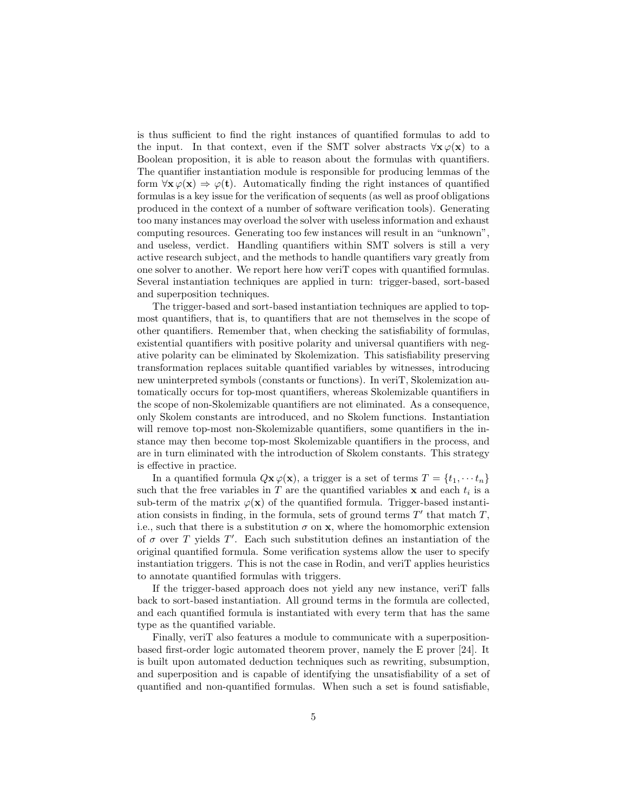is thus sufficient to find the right instances of quantified formulas to add to the input. In that context, even if the SMT solver abstracts  $\forall x \varphi(x)$  to a Boolean proposition, it is able to reason about the formulas with quantifiers. The quantifier instantiation module is responsible for producing lemmas of the form  $\forall x \varphi(x) \Rightarrow \varphi(t)$ . Automatically finding the right instances of quantified formulas is a key issue for the verification of sequents (as well as proof obligations produced in the context of a number of software verification tools). Generating too many instances may overload the solver with useless information and exhaust computing resources. Generating too few instances will result in an "unknown", and useless, verdict. Handling quantifiers within SMT solvers is still a very active research subject, and the methods to handle quantifiers vary greatly from one solver to another. We report here how veriT copes with quantified formulas. Several instantiation techniques are applied in turn: trigger-based, sort-based and superposition techniques.

The trigger-based and sort-based instantiation techniques are applied to topmost quantifiers, that is, to quantifiers that are not themselves in the scope of other quantifiers. Remember that, when checking the satisfiability of formulas, existential quantifiers with positive polarity and universal quantifiers with negative polarity can be eliminated by Skolemization. This satisfiability preserving transformation replaces suitable quantified variables by witnesses, introducing new uninterpreted symbols (constants or functions). In veriT, Skolemization automatically occurs for top-most quantifiers, whereas Skolemizable quantifiers in the scope of non-Skolemizable quantifiers are not eliminated. As a consequence, only Skolem constants are introduced, and no Skolem functions. Instantiation will remove top-most non-Skolemizable quantifiers, some quantifiers in the instance may then become top-most Skolemizable quantifiers in the process, and are in turn eliminated with the introduction of Skolem constants. This strategy is effective in practice.

In a quantified formula  $Q\mathbf{x}\varphi(\mathbf{x})$ , a trigger is a set of terms  $T = \{t_1, \dots, t_n\}$ such that the free variables in T are the quantified variables  $x$  and each  $t_i$  is a sub-term of the matrix  $\varphi(\mathbf{x})$  of the quantified formula. Trigger-based instantiation consists in finding, in the formula, sets of ground terms  $T'$  that match  $T$ , i.e., such that there is a substitution  $\sigma$  on **x**, where the homomorphic extension of  $\sigma$  over T yields T'. Each such substitution defines an instantiation of the original quantified formula. Some verification systems allow the user to specify instantiation triggers. This is not the case in Rodin, and veriT applies heuristics to annotate quantified formulas with triggers.

If the trigger-based approach does not yield any new instance, veriT falls back to sort-based instantiation. All ground terms in the formula are collected, and each quantified formula is instantiated with every term that has the same type as the quantified variable.

Finally, veriT also features a module to communicate with a superpositionbased first-order logic automated theorem prover, namely the E prover [24]. It is built upon automated deduction techniques such as rewriting, subsumption, and superposition and is capable of identifying the unsatisfiability of a set of quantified and non-quantified formulas. When such a set is found satisfiable,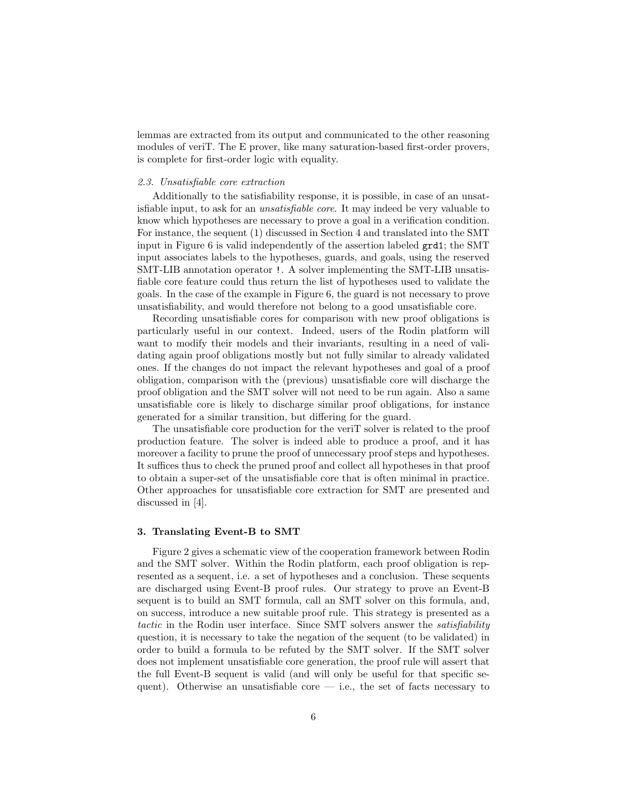lemmas are extracted from its output and communicated to the other reasoning modules of veriT. The E prover, like many saturation-based first-order provers, is complete for first-order logic with equality.

# 2.3. Unsatisfiable core extraction

Additionally to the satisfiability response, it is possible, in case of an unsatisfiable input, to ask for an unsatisfiable core. It may indeed be very valuable to know which hypotheses are necessary to prove a goal in a verification condition. For instance, the sequent (1) discussed in Section 4 and translated into the SMT input in Figure 6 is valid independently of the assertion labeled grd1; the SMT input associates labels to the hypotheses, guards, and goals, using the reserved SMT-LIB annotation operator !. A solver implementing the SMT-LIB unsatisfiable core feature could thus return the list of hypotheses used to validate the goals. In the case of the example in Figure 6, the guard is not necessary to prove unsatisfiability, and would therefore not belong to a good unsatisfiable core.

Recording unsatisfiable cores for comparison with new proof obligations is particularly useful in our context. Indeed, users of the Rodin platform will want to modify their models and their invariants, resulting in a need of validating again proof obligations mostly but not fully similar to already validated ones. If the changes do not impact the relevant hypotheses and goal of a proof obligation, comparison with the (previous) unsatisfiable core will discharge the proof obligation and the SMT solver will not need to be run again. Also a same unsatisfiable core is likely to discharge similar proof obligations, for instance generated for a similar transition, but differing for the guard.

The unsatisfiable core production for the veriT solver is related to the proof production feature. The solver is indeed able to produce a proof, and it has moreover a facility to prune the proof of unnecessary proof steps and hypotheses. It suffices thus to check the pruned proof and collect all hypotheses in that proof to obtain a super-set of the unsatisfiable core that is often minimal in practice. Other approaches for unsatisfiable core extraction for SMT are presented and discussed in [4].

# 3. Translating Event-B to SMT

Figure 2 gives a schematic view of the cooperation framework between Rodin and the SMT solver. Within the Rodin platform, each proof obligation is represented as a sequent, i.e. a set of hypotheses and a conclusion. These sequents are discharged using Event-B proof rules. Our strategy to prove an Event-B sequent is to build an SMT formula, call an SMT solver on this formula, and, on success, introduce a new suitable proof rule. This strategy is presented as a tactic in the Rodin user interface. Since SMT solvers answer the *satisfiability* question, it is necessary to take the negation of the sequent (to be validated) in order to build a formula to be refuted by the SMT solver. If the SMT solver does not implement unsatisfiable core generation, the proof rule will assert that the full Event-B sequent is valid (and will only be useful for that specific sequent). Otherwise an unsatisfiable core  $-$  i.e., the set of facts necessary to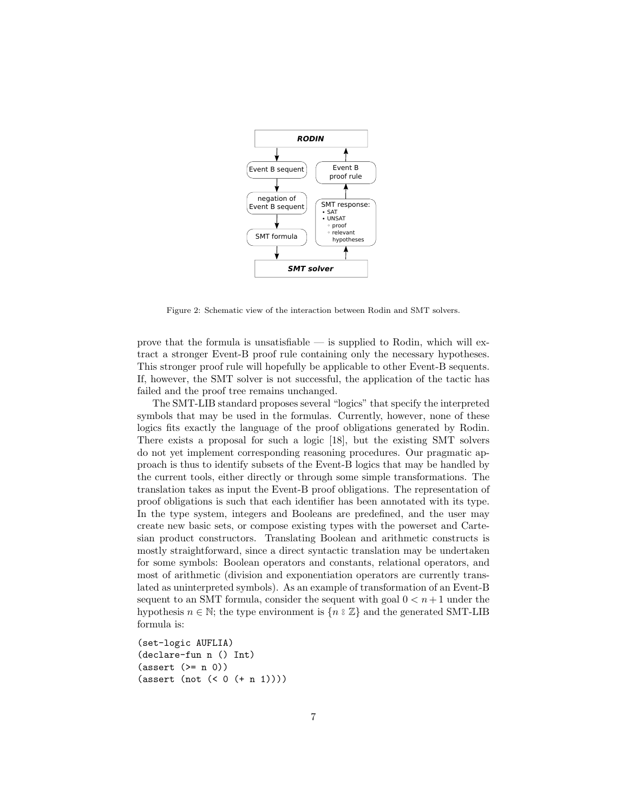

Figure 2: Schematic view of the interaction between Rodin and SMT solvers.

prove that the formula is unsatisfiable — is supplied to Rodin, which will extract a stronger Event-B proof rule containing only the necessary hypotheses. This stronger proof rule will hopefully be applicable to other Event-B sequents. If, however, the SMT solver is not successful, the application of the tactic has failed and the proof tree remains unchanged.

The SMT-LIB standard proposes several "logics" that specify the interpreted symbols that may be used in the formulas. Currently, however, none of these logics fits exactly the language of the proof obligations generated by Rodin. There exists a proposal for such a logic [18], but the existing SMT solvers do not yet implement corresponding reasoning procedures. Our pragmatic approach is thus to identify subsets of the Event-B logics that may be handled by the current tools, either directly or through some simple transformations. The translation takes as input the Event-B proof obligations. The representation of proof obligations is such that each identifier has been annotated with its type. In the type system, integers and Booleans are predefined, and the user may create new basic sets, or compose existing types with the powerset and Cartesian product constructors. Translating Boolean and arithmetic constructs is mostly straightforward, since a direct syntactic translation may be undertaken for some symbols: Boolean operators and constants, relational operators, and most of arithmetic (division and exponentiation operators are currently translated as uninterpreted symbols). As an example of transformation of an Event-B sequent to an SMT formula, consider the sequent with goal  $0 < n+1$  under the hypothesis  $n \in \mathbb{N}$ ; the type environment is  $\{n \in \mathbb{Z}\}$  and the generated SMT-LIB formula is:

```
(set-logic AUFLIA)
(declare-fun n () Int)
(assert (>= n 0))
(assert (not (< 0 (+ n 1))))
```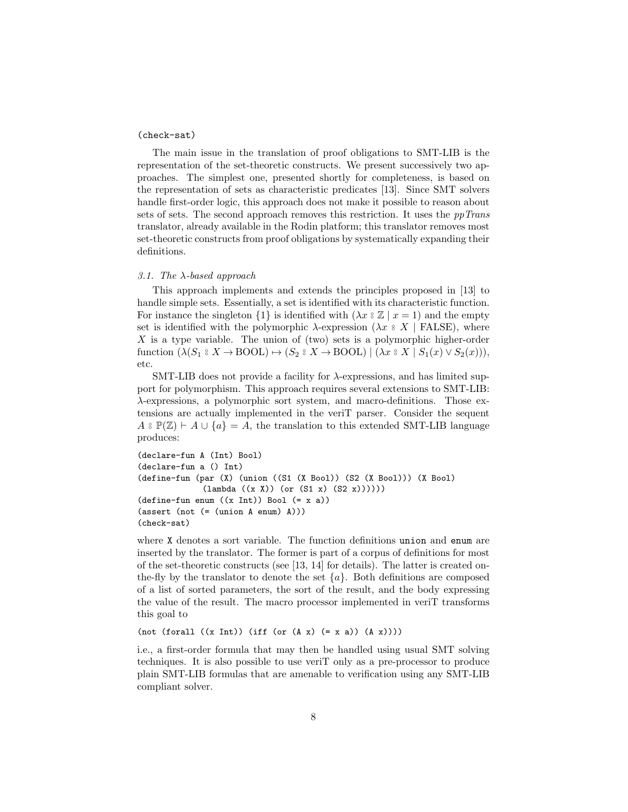# (check-sat)

The main issue in the translation of proof obligations to SMT-LIB is the representation of the set-theoretic constructs. We present successively two approaches. The simplest one, presented shortly for completeness, is based on the representation of sets as characteristic predicates [13]. Since SMT solvers handle first-order logic, this approach does not make it possible to reason about sets of sets. The second approach removes this restriction. It uses the ppTrans translator, already available in the Rodin platform; this translator removes most set-theoretic constructs from proof obligations by systematically expanding their definitions.

#### 3.1. The λ-based approach

This approach implements and extends the principles proposed in [13] to handle simple sets. Essentially, a set is identified with its characteristic function. For instance the singleton  $\{1\}$  is identified with  $(\lambda x \times \mathbb{Z} \mid x = 1)$  and the empty set is identified with the polymorphic  $\lambda$ -expression ( $\lambda x$   $\in$  X | FALSE), where X is a type variable. The union of (two) sets is a polymorphic higher-order function  $(\lambda(S_1 \otimes X \to \text{BOOL}) \mapsto (S_2 \otimes X \to \text{BOOL}) \mid (\lambda x \otimes X \mid S_1(x) \vee S_2(x))),$ etc.

SMT-LIB does not provide a facility for  $\lambda$ -expressions, and has limited support for polymorphism. This approach requires several extensions to SMT-LIB: λ-expressions, a polymorphic sort system, and macro-definitions. Those extensions are actually implemented in the veriT parser. Consider the sequent  $A \otimes \mathbb{P}(\mathbb{Z}) \vdash A \cup \{a\} = A$ , the translation to this extended SMT-LIB language produces:

```
(declare-fun A (Int) Bool)
(declare-fun a () Int)
(define-fun (par (X) (union ((S1 (X Bool)) (S2 (X Bool))) (X Bool)
              (lambda ((x X)) (or (S1 x) (S2 x))))(define-fun enum ((x Int)) Bool (= x a))
(\text{assert} (\text{not } (= (\text{union A enum}) A)))(check-sat)
```
where X denotes a sort variable. The function definitions union and enum are inserted by the translator. The former is part of a corpus of definitions for most of the set-theoretic constructs (see [13, 14] for details). The latter is created onthe-fly by the translator to denote the set  $\{a\}$ . Both definitions are composed of a list of sorted parameters, the sort of the result, and the body expressing the value of the result. The macro processor implemented in veriT transforms this goal to

```
(not (forall ((x Int)) (iff (or (A x) (= x a)) (A x))))
```
i.e., a first-order formula that may then be handled using usual SMT solving techniques. It is also possible to use veriT only as a pre-processor to produce plain SMT-LIB formulas that are amenable to verification using any SMT-LIB compliant solver.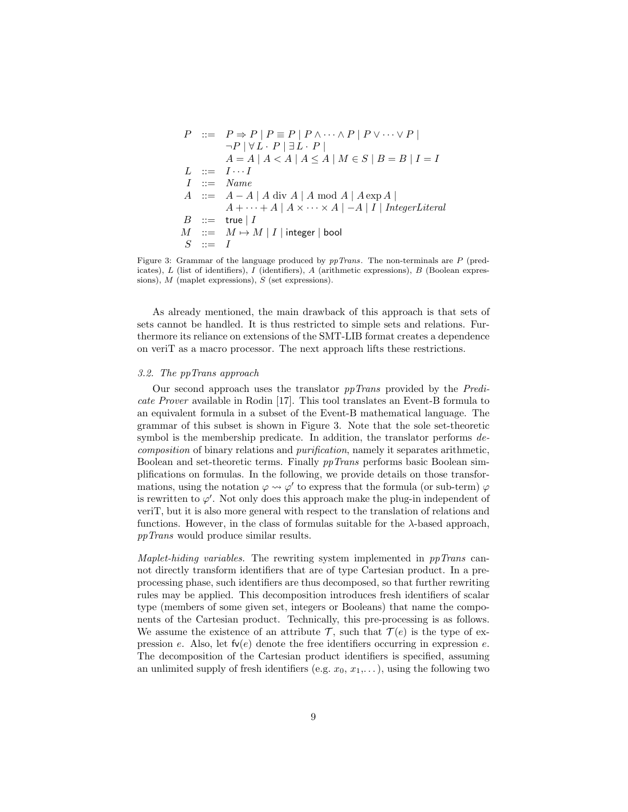$$
P ::= P \Rightarrow P | P \equiv P | P \land \cdots \land P | P \lor \cdots \lor P |
$$
  
\n
$$
\neg P | \forall L \cdot P | \exists L \cdot P |
$$
  
\n
$$
A = A | A < A | A \le A | M \in S | B = B | I = I
$$
  
\n
$$
L ::= I \cdots I
$$
  
\n
$$
I ::= Name
$$
  
\n
$$
A ::= A - A | A \text{ div } A | A \text{ mod } A | A \exp A |
$$
  
\n
$$
A + \cdots + A | A \times \cdots \times A | -A | I | \text{ Integral}
$$
  
\n
$$
B ::= true | I
$$
  
\n
$$
M ::= M \mapsto M | I | \text{ integer} | \text{bool}
$$
  
\n
$$
S ::= I
$$

Figure 3: Grammar of the language produced by  $ppTrans$ . The non-terminals are  $P$  (predicates),  $L$  (list of identifiers),  $I$  (identifiers),  $A$  (arithmetic expressions),  $B$  (Boolean expressions), M (maplet expressions), S (set expressions).

As already mentioned, the main drawback of this approach is that sets of sets cannot be handled. It is thus restricted to simple sets and relations. Furthermore its reliance on extensions of the SMT-LIB format creates a dependence on veriT as a macro processor. The next approach lifts these restrictions.

## 3.2. The ppTrans approach

Our second approach uses the translator ppTrans provided by the Predicate Prover available in Rodin [17]. This tool translates an Event-B formula to an equivalent formula in a subset of the Event-B mathematical language. The grammar of this subset is shown in Figure 3. Note that the sole set-theoretic symbol is the membership predicate. In addition, the translator performs decomposition of binary relations and purification, namely it separates arithmetic, Boolean and set-theoretic terms. Finally ppTrans performs basic Boolean simplifications on formulas. In the following, we provide details on those transformations, using the notation  $\varphi \leadsto \varphi'$  to express that the formula (or sub-term)  $\varphi$ is rewritten to  $\varphi'$ . Not only does this approach make the plug-in independent of veriT, but it is also more general with respect to the translation of relations and functions. However, in the class of formulas suitable for the  $\lambda$ -based approach, ppTrans would produce similar results.

Maplet-hiding variables. The rewriting system implemented in ppTrans cannot directly transform identifiers that are of type Cartesian product. In a preprocessing phase, such identifiers are thus decomposed, so that further rewriting rules may be applied. This decomposition introduces fresh identifiers of scalar type (members of some given set, integers or Booleans) that name the components of the Cartesian product. Technically, this pre-processing is as follows. We assume the existence of an attribute  $\mathcal{T}$ , such that  $\mathcal{T}(e)$  is the type of expression e. Also, let  $f\nu(e)$  denote the free identifiers occurring in expression e. The decomposition of the Cartesian product identifiers is specified, assuming an unlimited supply of fresh identifiers (e.g.  $x_0, x_1, \ldots$ ), using the following two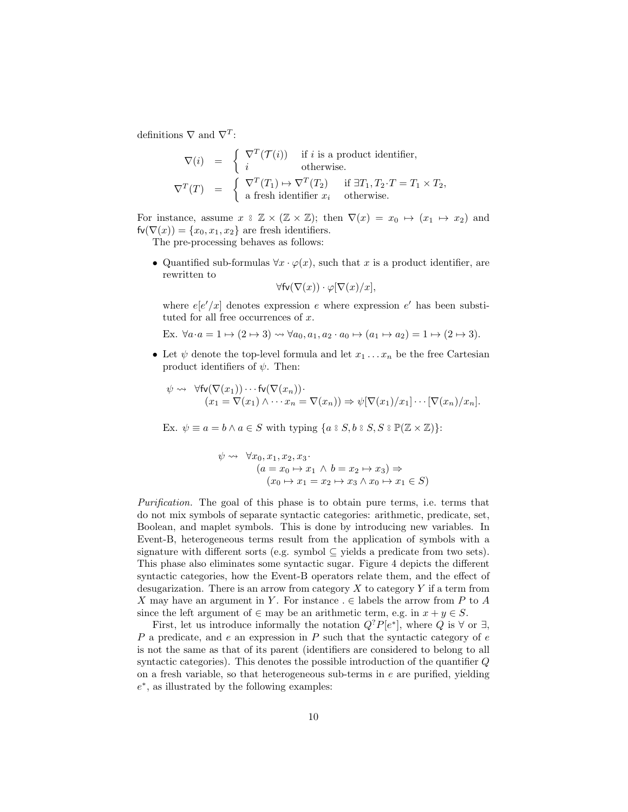definitions  $\nabla$  and  $\nabla^T$ :

$$
\nabla(i) = \begin{cases}\n\nabla^T(\mathcal{T}(i)) & \text{if } i \text{ is a product identifier,} \\
i & \text{otherwise.} \\
\nabla^T(T) = \begin{cases}\n\nabla^T(T_1) \mapsto \nabla^T(T_2) & \text{if } \exists T_1, T_2 \cdot T = T_1 \times T_2, \\
\text{a fresh identifier } x_i & \text{otherwise.} \\
\end{cases}
$$

For instance, assume  $x \in \mathbb{Z} \times (\mathbb{Z} \times \mathbb{Z})$ ; then  $\nabla(x) = x_0 \mapsto (x_1 \mapsto x_2)$  and  $f_v(\nabla(x)) = \{x_0, x_1, x_2\}$  are fresh identifiers.

The pre-processing behaves as follows:

• Quantified sub-formulas  $\forall x \cdot \varphi(x)$ , such that x is a product identifier, are rewritten to

$$
\forall \mathsf{fv}(\nabla(x)) \cdot \varphi[\nabla(x)/x],
$$

where  $e[e'/x]$  denotes expression e where expression e' has been substituted for all free occurrences of  $x$ .

Ex.  $\forall a \cdot a = 1 \mapsto (2 \mapsto 3) \rightsquigarrow \forall a_0, a_1, a_2 \cdot a_0 \mapsto (a_1 \mapsto a_2) = 1 \mapsto (2 \mapsto 3).$ 

• Let  $\psi$  denote the top-level formula and let  $x_1 \ldots x_n$  be the free Cartesian product identifiers of  $\psi$ . Then:

$$
\psi \rightsquigarrow \forall \mathsf{fv}(\nabla(x_1)) \cdots \mathsf{fv}(\nabla(x_n)) \cdot \newline (x_1 = \nabla(x_1) \wedge \cdots x_n = \nabla(x_n)) \Rightarrow \psi[\nabla(x_1)/x_1] \cdots [\nabla(x_n)/x_n].
$$

Ex.  $\psi \equiv a = b \land a \in S$  with typing  $\{a \stackrel{\circ}{\circ} S, b \stackrel{\circ}{\circ} S, S \stackrel{\circ}{\circ} \mathbb{P}(\mathbb{Z} \times \mathbb{Z})\}$ :

$$
\psi \rightsquigarrow \forall x_0, x_1, x_2, x_3.
$$
  
\n
$$
(a = x_0 \mapsto x_1 \land b = x_2 \mapsto x_3) \Rightarrow
$$
  
\n
$$
(x_0 \mapsto x_1 = x_2 \mapsto x_3 \land x_0 \mapsto x_1 \in S)
$$

Purification. The goal of this phase is to obtain pure terms, i.e. terms that do not mix symbols of separate syntactic categories: arithmetic, predicate, set, Boolean, and maplet symbols. This is done by introducing new variables. In Event-B, heterogeneous terms result from the application of symbols with a signature with different sorts (e.g. symbol  $\subseteq$  yields a predicate from two sets). This phase also eliminates some syntactic sugar. Figure 4 depicts the different syntactic categories, how the Event-B operators relate them, and the effect of desugarization. There is an arrow from category  $X$  to category  $Y$  if a term from X may have an argument in Y. For instance .  $\in$  labels the arrow from P to A since the left argument of  $\in$  may be an arithmetic term, e.g. in  $x + y \in S$ .

First, let us introduce informally the notation  $Q^?P[e^*]$ , where Q is  $\forall$  or  $\exists$ ,  $P$  a predicate, and  $e$  an expression in  $P$  such that the syntactic category of  $e$ is not the same as that of its parent (identifiers are considered to belong to all syntactic categories). This denotes the possible introduction of the quantifier Q on a fresh variable, so that heterogeneous sub-terms in  $e$  are purified, yielding e ∗ , as illustrated by the following examples: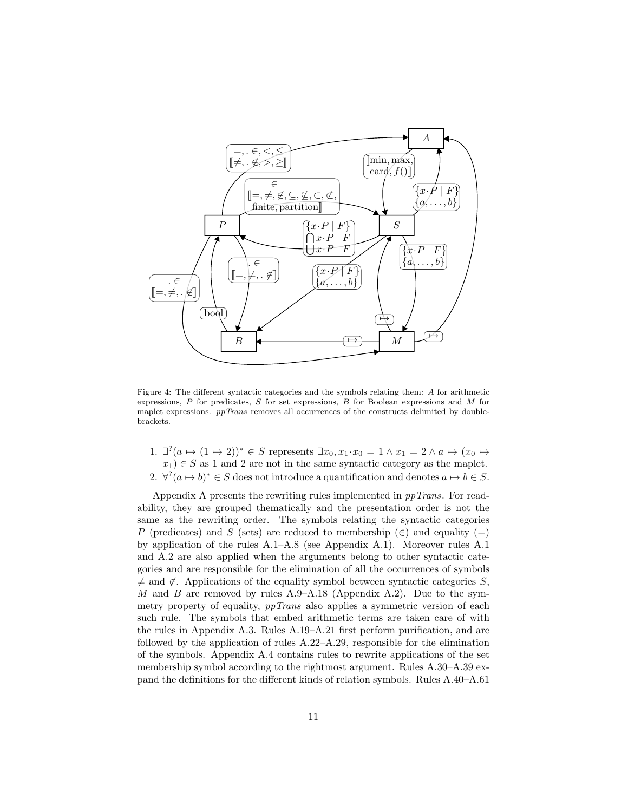

Figure 4: The different syntactic categories and the symbols relating them: A for arithmetic expressions, P for predicates, S for set expressions, B for Boolean expressions and M for maplet expressions. ppTrans removes all occurrences of the constructs delimited by doublebrackets.

1.  $\exists^{?}(a \mapsto (1 \mapsto 2))^* \in S$  represents  $\exists x_0, x_1 \cdot x_0 = 1 \land x_1 = 2 \land a \mapsto (x_0 \mapsto x_1)$  $x_1 \in S$  as 1 and 2 are not in the same syntactic category as the maplet. 2.  $\forall^2 (a \mapsto b)^* \in S$  does not introduce a quantification and denotes  $a \mapsto b \in S$ .

Appendix A presents the rewriting rules implemented in  $ppTrans$ . For readability, they are grouped thematically and the presentation order is not the same as the rewriting order. The symbols relating the syntactic categories P (predicates) and S (sets) are reduced to membership ( $\in$ ) and equality ( $=$ ) by application of the rules A.1–A.8 (see Appendix A.1). Moreover rules A.1 and A.2 are also applied when the arguments belong to other syntactic categories and are responsible for the elimination of all the occurrences of symbols  $\neq$  and  $\notin$ . Applications of the equality symbol between syntactic categories S, M and B are removed by rules  $A.9-A.18$  (Appendix A.2). Due to the symmetry property of equality, *ppTrans* also applies a symmetric version of each such rule. The symbols that embed arithmetic terms are taken care of with the rules in Appendix A.3. Rules A.19–A.21 first perform purification, and are followed by the application of rules A.22–A.29, responsible for the elimination of the symbols. Appendix A.4 contains rules to rewrite applications of the set membership symbol according to the rightmost argument. Rules A.30–A.39 expand the definitions for the different kinds of relation symbols. Rules A.40–A.61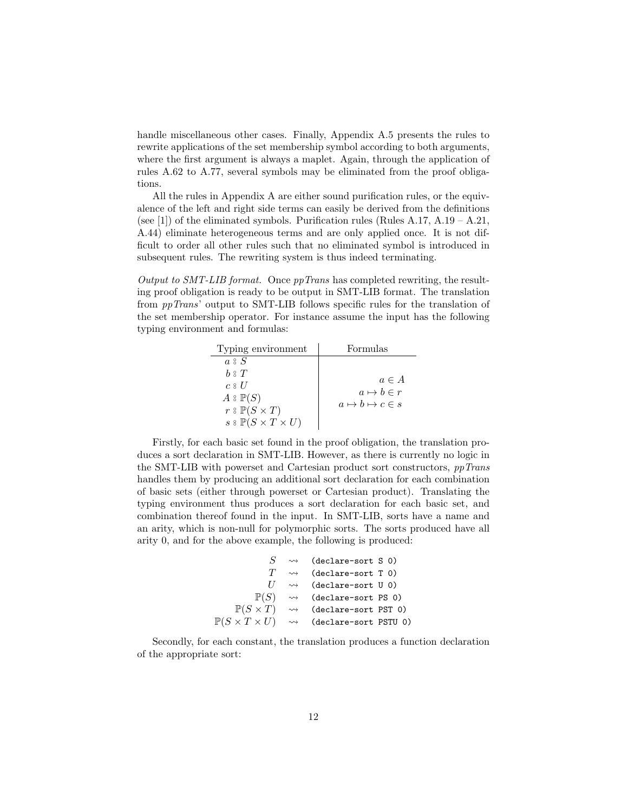handle miscellaneous other cases. Finally, Appendix A.5 presents the rules to rewrite applications of the set membership symbol according to both arguments, where the first argument is always a maplet. Again, through the application of rules A.62 to A.77, several symbols may be eliminated from the proof obligations.

All the rules in Appendix A are either sound purification rules, or the equivalence of the left and right side terms can easily be derived from the definitions (see [1]) of the eliminated symbols. Purification rules (Rules A.17, A.19 – A.21, A.44) eliminate heterogeneous terms and are only applied once. It is not difficult to order all other rules such that no eliminated symbol is introduced in subsequent rules. The rewriting system is thus indeed terminating.

Output to SMT-LIB format. Once  $ppTrans$  has completed rewriting, the resulting proof obligation is ready to be output in SMT-LIB format. The translation from ppTrans' output to SMT-LIB follows specific rules for the translation of the set membership operator. For instance assume the input has the following typing environment and formulas:

| Typing environment                        | Formulas                                             |
|-------------------------------------------|------------------------------------------------------|
| $a \circ S$                               |                                                      |
| $b \,$ s $T$                              |                                                      |
| $c \text{ }^{\circ} U$                    | $a \in A$                                            |
| $A \circ \mathbb{P}(S)$                   | $a \mapsto b \in r$<br>$a \mapsto b \mapsto c \in s$ |
| $r \circ \mathbb{P}(S \times T)$          |                                                      |
| $s \circ \mathbb{P}(S \times T \times U)$ |                                                      |

Firstly, for each basic set found in the proof obligation, the translation produces a sort declaration in SMT-LIB. However, as there is currently no logic in the SMT-LIB with powerset and Cartesian product sort constructors, ppTrans handles them by producing an additional sort declaration for each combination of basic sets (either through powerset or Cartesian product). Translating the typing environment thus produces a sort declaration for each basic set, and combination thereof found in the input. In SMT-LIB, sorts have a name and an arity, which is non-null for polymorphic sorts. The sorts produced have all arity 0, and for the above example, the following is produced:

```
S \rightarrow (declare-sort S 0)
                T \rightarrow (declare-sort T 0)
                U \rightarrow (declare-sort U 0)
            \mathbb{P}(S) \longrightarrow (declare-sort PS 0)
      \mathbb{P}(S \times T) \longrightarrow (declare-sort PST 0)
\mathbb{P}(S \times T \times U) \rightsquigarrow (declare-sort PSTU 0)
```
Secondly, for each constant, the translation produces a function declaration of the appropriate sort: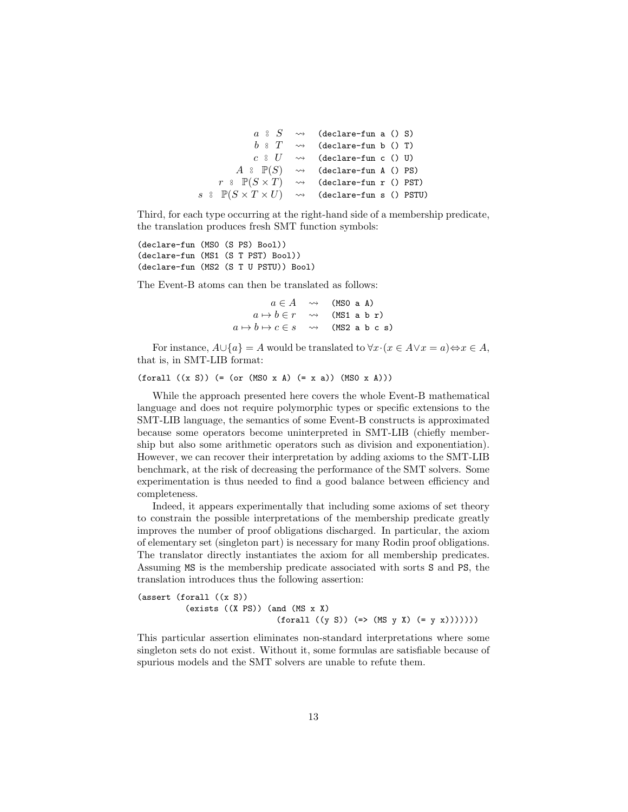```
a \frac{8}{3}\rightsquigarrow (declare-fun a () S)
                  b :
                               \rightsquigarrow (declare-fun b () T)
                  c \degree\rightsquigarrow (declare-fun c () U)
           A \cong \mathbb{P}(S)\rightsquigarrow (declare-fun A () PS)
      r
◦
                              \rightsquigarrow (declare-fun r () PST)
s
◦
                             \rightsquigarrow (declare-fun s () PSTU)
```
Third, for each type occurring at the right-hand side of a membership predicate, the translation produces fresh SMT function symbols:

```
(declare-fun (MS0 (S PS) Bool))
(declare-fun (MS1 (S T PST) Bool))
(declare-fun (MS2 (S T U PSTU)) Bool)
```
The Event-B atoms can then be translated as follows:

 $a \in A \quad \leadsto \quad$  (MSO a A)  $a \mapsto b \in r \quad \leadsto \quad (MS1 \text{ a b r})$  $a \mapsto b \mapsto c \in s \quad \leadsto \quad (\text{MS2 a b c s})$ 

For instance,  $A \cup \{a\} = A$  would be translated to  $\forall x \cdot (x \in A \lor x = a) \Leftrightarrow x \in A$ , that is, in SMT-LIB format:

 $(forall ((x S)) (= (or (MS0 x A) (= x a)) (MS0 x A)))$ 

While the approach presented here covers the whole Event-B mathematical language and does not require polymorphic types or specific extensions to the SMT-LIB language, the semantics of some Event-B constructs is approximated because some operators become uninterpreted in SMT-LIB (chiefly membership but also some arithmetic operators such as division and exponentiation). However, we can recover their interpretation by adding axioms to the SMT-LIB benchmark, at the risk of decreasing the performance of the SMT solvers. Some experimentation is thus needed to find a good balance between efficiency and completeness.

Indeed, it appears experimentally that including some axioms of set theory to constrain the possible interpretations of the membership predicate greatly improves the number of proof obligations discharged. In particular, the axiom of elementary set (singleton part) is necessary for many Rodin proof obligations. The translator directly instantiates the axiom for all membership predicates. Assuming MS is the membership predicate associated with sorts S and PS, the translation introduces thus the following assertion:

(assert (forall ((x S)) (exists ((X PS)) (and (MS x X)  $(foral1 ((y S)) (= > (MS y X) (= y x)))))))$ 

This particular assertion eliminates non-standard interpretations where some singleton sets do not exist. Without it, some formulas are satisfiable because of spurious models and the SMT solvers are unable to refute them.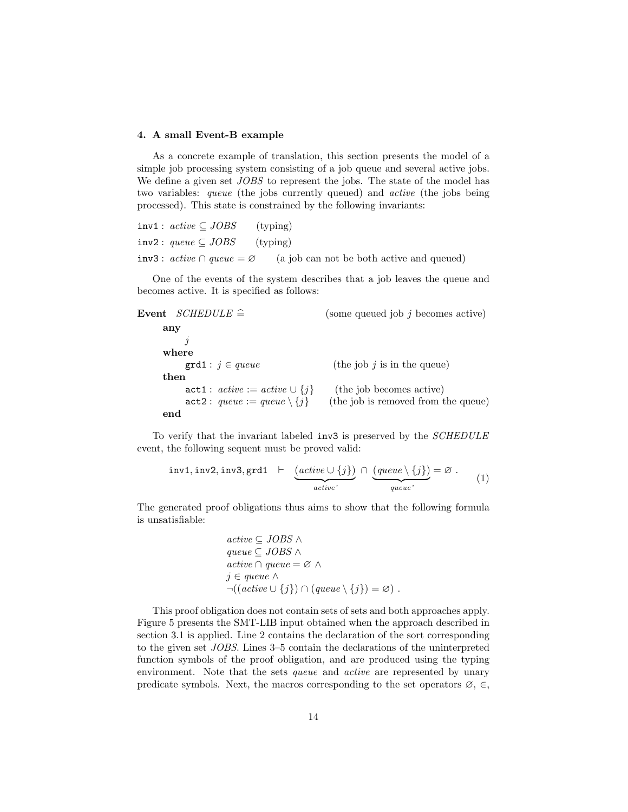## 4. A small Event-B example

As a concrete example of translation, this section presents the model of a simple job processing system consisting of a job queue and several active jobs. We define a given set  $JOBS$  to represent the jobs. The state of the model has two variables: queue (the jobs currently queued) and active (the jobs being processed). This state is constrained by the following invariants:

```
inv1: active \subseteq JOBS (typing)
inv2: queue \subseteq JOBS (typing)
inv3: active \cap queue = \emptyset (a job can not be both active and queued)
```
One of the events of the system describes that a job leaves the queue and becomes active. It is specified as follows:

```
Event SCHEDULE \cong (some queued job j becomes active)
      any
           j
      where
           \text{grad } : j \in queue (the job j is in the queue)
     then
           \texttt{act1}: \textit{active} := \textit{active} \cup \{j\} (the job becomes active)
           \texttt{act2}: queue := queue \setminus \{j\} (the job is removed from the queue)
      end
```
To verify that the invariant labeled inv3 is preserved by the SCHEDULE event, the following sequent must be proved valid:

$$
\text{inv1}, \text{inv2}, \text{inv3}, \text{grd1} \quad \vdash \quad \underbrace{\text{(active \cup \{j\})}}_{active}, \cap \underbrace{\text{(queue \setminus \{j\})}}_{queue}, = \varnothing \; . \tag{1}
$$

The generated proof obligations thus aims to show that the following formula is unsatisfiable:

active 
$$
\subseteq
$$
 JOBS  $\land$   
queue  $\subseteq$  JOBS  $\land$   
active  $\cap$  queue =  $\varnothing \land$   
 $j \in queue \land$   
 $\neg((active \cup \{j\}) \cap (queue \setminus \{j\}) = \varnothing)$ .

This proof obligation does not contain sets of sets and both approaches apply. Figure 5 presents the SMT-LIB input obtained when the approach described in section 3.1 is applied. Line 2 contains the declaration of the sort corresponding to the given set JOBS. Lines 3–5 contain the declarations of the uninterpreted function symbols of the proof obligation, and are produced using the typing environment. Note that the sets *queue* and *active* are represented by unary predicate symbols. Next, the macros corresponding to the set operators  $\varnothing, \in$ ,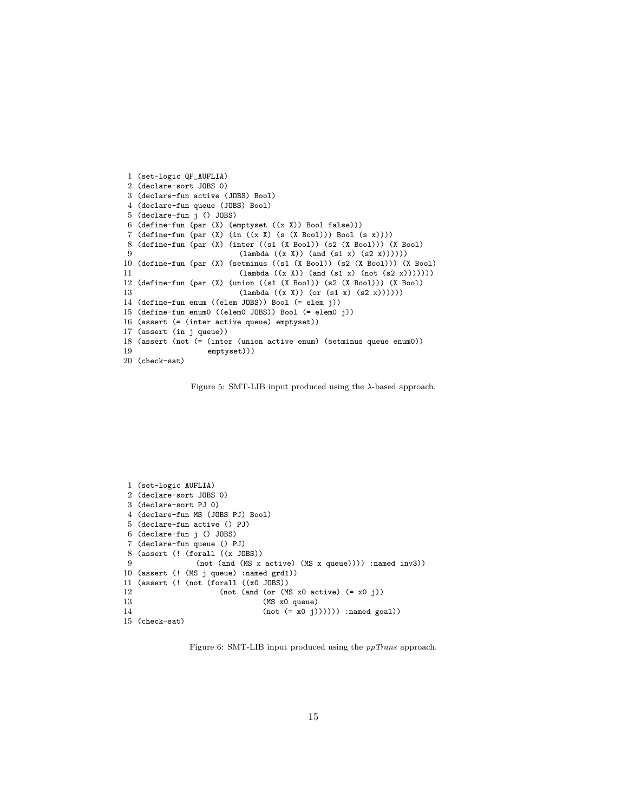```
1 (set-logic QF_AUFLIA)
2 (declare-sort JOBS 0)
3 (declare-fun active (JOBS) Bool)
4 (declare-fun queue (JOBS) Bool)
5 (declare-fun j () JOBS)
6 (define-fun (par (X) (emptyset ((x X)) Bool false)))
7 (define-fun (par (X) (in ((x X) (s (X Bool))) Bool (s x)))8 (define-fun (par (X) (inter ((s1 (X Bool)) (s2 (X Bool))) (X Bool)
9 (lambda ((x X)) (and (s1 x) (s2 x))))))
10 (define-fun (par (X) (setminus ((s1 (X Bool)) (s2 (X Bool))) (X Bool)
11 (lambda ((x X)) (and (s1 x) (not (s2 x)))))))
12 (define-fun (par (X) (union ((s1 (X Book)))(s2 (X Book)))(X Book01))<br>13 (lambda ((x X)) (or (s1 x) (s2 x)))))
                          (\text{lambda } ((x X)) (or (s1 x) (s2 x))))))14 (define-fun enum ((elem JOBS)) Bool (= elem j))
15 (define-fun enum0 ((elem0 JOBS)) Bool (= elem0 j))
16 (assert (= (inter active queue) emptyset))
17 (assert (in j queue))
18 (assert (not (= (inter (union active enum) (setminus queue enum0))
19 emptyset)))
20 (check-sat)
```
Figure 5: SMT-LIB input produced using the λ-based approach.

 (set-logic AUFLIA) (declare-sort JOBS 0) (declare-sort PJ 0) (declare-fun MS (JOBS PJ) Bool) (declare-fun active () PJ) (declare-fun j () JOBS) (declare-fun queue () PJ) (assert (! (forall ( $(x$  JOBS))<br>9 (not (and  $MS \nvert x$ ) (not (and (MS x active) (MS x queue)))) :named inv3)) (assert (! (MS j queue) :named grd1)) (assert (! (not (forall ((x0 JOBS)) 12 (not (and (or  $(MS \times 0 \text{ active})$  (=  $x0$  j))<br>13 (MS  $x0$  queue) (MS x0 queue)<br> $14$  (not  $(= x0 i)$ )  $(not (= x0 j))))))$  : named goal)) (check-sat)

Figure 6: SMT-LIB input produced using the  $pp\,Trans$  approach.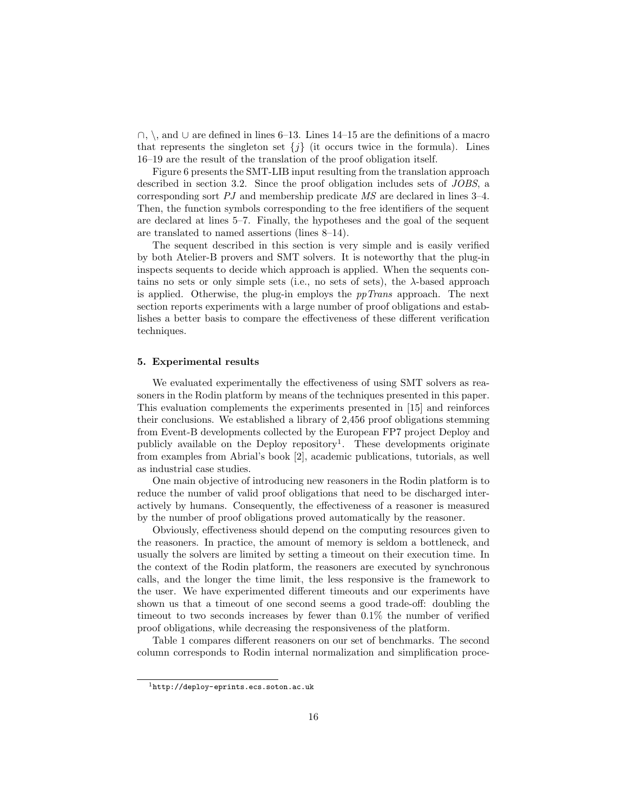∩, \, and ∪ are defined in lines 6–13. Lines 14–15 are the definitions of a macro that represents the singleton set  $\{j\}$  (it occurs twice in the formula). Lines 16–19 are the result of the translation of the proof obligation itself.

Figure 6 presents the SMT-LIB input resulting from the translation approach described in section 3.2. Since the proof obligation includes sets of JOBS, a corresponding sort PJ and membership predicate MS are declared in lines 3–4. Then, the function symbols corresponding to the free identifiers of the sequent are declared at lines 5–7. Finally, the hypotheses and the goal of the sequent are translated to named assertions (lines 8–14).

The sequent described in this section is very simple and is easily verified by both Atelier-B provers and SMT solvers. It is noteworthy that the plug-in inspects sequents to decide which approach is applied. When the sequents contains no sets or only simple sets (i.e., no sets of sets), the  $\lambda$ -based approach is applied. Otherwise, the plug-in employs the  $ppTrans$  approach. The next section reports experiments with a large number of proof obligations and establishes a better basis to compare the effectiveness of these different verification techniques.

#### 5. Experimental results

We evaluated experimentally the effectiveness of using SMT solvers as reasoners in the Rodin platform by means of the techniques presented in this paper. This evaluation complements the experiments presented in [15] and reinforces their conclusions. We established a library of 2,456 proof obligations stemming from Event-B developments collected by the European FP7 project Deploy and publicly available on the Deploy repository<sup>1</sup>. These developments originate from examples from Abrial's book [2], academic publications, tutorials, as well as industrial case studies.

One main objective of introducing new reasoners in the Rodin platform is to reduce the number of valid proof obligations that need to be discharged interactively by humans. Consequently, the effectiveness of a reasoner is measured by the number of proof obligations proved automatically by the reasoner.

Obviously, effectiveness should depend on the computing resources given to the reasoners. In practice, the amount of memory is seldom a bottleneck, and usually the solvers are limited by setting a timeout on their execution time. In the context of the Rodin platform, the reasoners are executed by synchronous calls, and the longer the time limit, the less responsive is the framework to the user. We have experimented different timeouts and our experiments have shown us that a timeout of one second seems a good trade-off: doubling the timeout to two seconds increases by fewer than 0.1% the number of verified proof obligations, while decreasing the responsiveness of the platform.

Table 1 compares different reasoners on our set of benchmarks. The second column corresponds to Rodin internal normalization and simplification proce-

 $1$ http://deploy-eprints.ecs.soton.ac.uk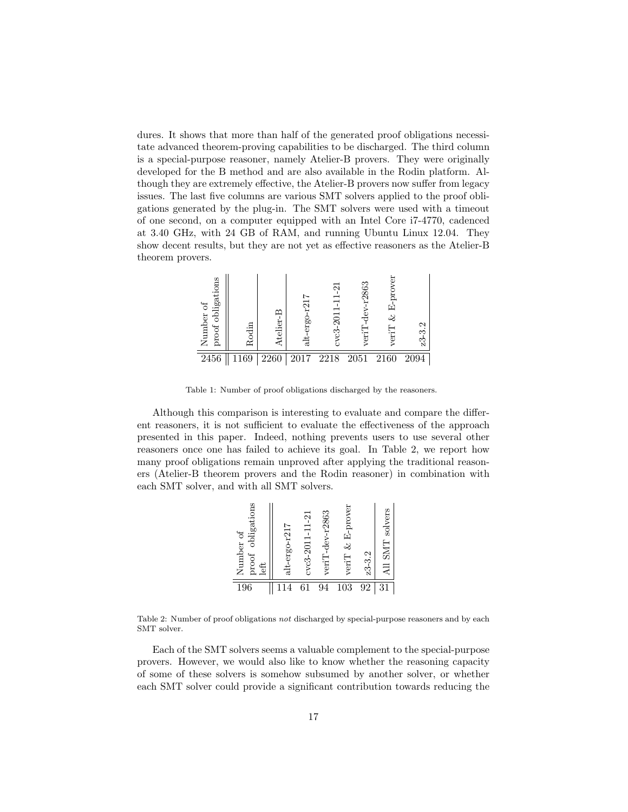dures. It shows that more than half of the generated proof obligations necessitate advanced theorem-proving capabilities to be discharged. The third column is a special-purpose reasoner, namely Atelier-B provers. They were originally developed for the B method and are also available in the Rodin platform. Although they are extremely effective, the Atelier-B provers now suffer from legacy issues. The last five columns are various SMT solvers applied to the proof obligations generated by the plug-in. The SMT solvers were used with a timeout of one second, on a computer equipped with an Intel Core i7-4770, cadenced at 3.40 GHz, with 24 GB of RAM, and running Ubuntu Linux 12.04. They show decent results, but they are not yet as effective reasoners as the Atelier-B theorem provers.



Table 1: Number of proof obligations discharged by the reasoners.

Although this comparison is interesting to evaluate and compare the different reasoners, it is not sufficient to evaluate the effectiveness of the approach presented in this paper. Indeed, nothing prevents users to use several other reasoners once one has failed to achieve its goal. In Table 2, we report how many proof obligations remain unproved after applying the traditional reasoners (Atelier-B theorem provers and the Rodin reasoner) in combination with each SMT solver, and with all SMT solvers.

| obligations<br>Number of<br>proof<br>left | alt-ergo-r217 | cvc3-2011-11-21 | veriT-dev-r2863 | veri $T$ & E-prover | z3-3.2 | All SMT solvers |
|-------------------------------------------|---------------|-----------------|-----------------|---------------------|--------|-----------------|
| 196                                       |               |                 | 94              | 103                 | 92     | 31              |

Table 2: Number of proof obligations not discharged by special-purpose reasoners and by each SMT solver.

Each of the SMT solvers seems a valuable complement to the special-purpose provers. However, we would also like to know whether the reasoning capacity of some of these solvers is somehow subsumed by another solver, or whether each SMT solver could provide a significant contribution towards reducing the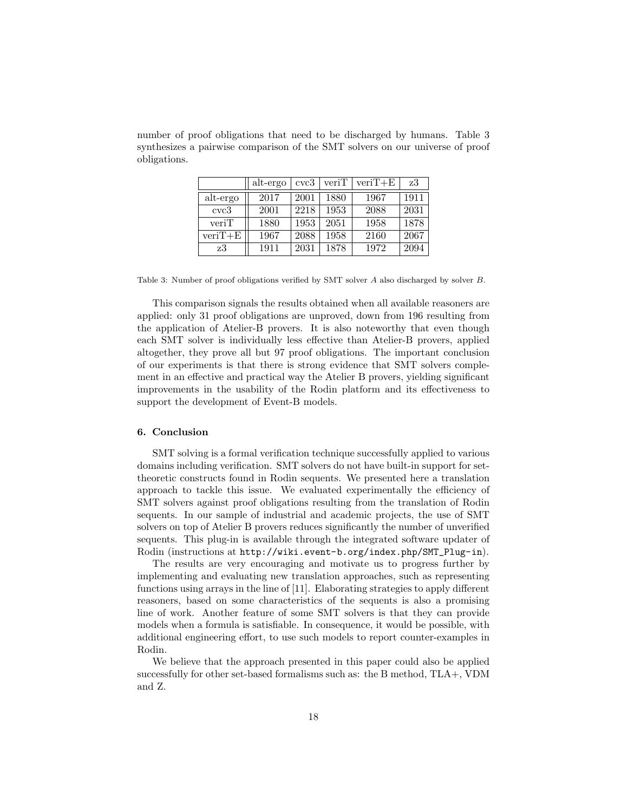|             | alt-ergo | $\mathrm{cvc3}$ | veriT | $veriT + E$ | z3   |
|-------------|----------|-----------------|-------|-------------|------|
| alt-ergo    | 2017     | 2001            | 1880  | 1967        | 1911 |
| $\rm cvc3$  | 2001     | 2218            | 1953  | 2088        | 2031 |
| veriT       | 1880     | 1953            | 2051  | 1958        | 1878 |
| $veriT + E$ | 1967     | 2088            | 1958  | 2160        | 2067 |
| z3          | 1911     | 2031            | 1878  | 1972        | 2094 |

number of proof obligations that need to be discharged by humans. Table 3 synthesizes a pairwise comparison of the SMT solvers on our universe of proof obligations.

Table 3: Number of proof obligations verified by SMT solver A also discharged by solver B.

This comparison signals the results obtained when all available reasoners are applied: only 31 proof obligations are unproved, down from 196 resulting from the application of Atelier-B provers. It is also noteworthy that even though each SMT solver is individually less effective than Atelier-B provers, applied altogether, they prove all but 97 proof obligations. The important conclusion of our experiments is that there is strong evidence that SMT solvers complement in an effective and practical way the Atelier B provers, yielding significant improvements in the usability of the Rodin platform and its effectiveness to support the development of Event-B models.

#### 6. Conclusion

SMT solving is a formal verification technique successfully applied to various domains including verification. SMT solvers do not have built-in support for settheoretic constructs found in Rodin sequents. We presented here a translation approach to tackle this issue. We evaluated experimentally the efficiency of SMT solvers against proof obligations resulting from the translation of Rodin sequents. In our sample of industrial and academic projects, the use of SMT solvers on top of Atelier B provers reduces significantly the number of unverified sequents. This plug-in is available through the integrated software updater of Rodin (instructions at http://wiki.event-b.org/index.php/SMT\_Plug-in).

The results are very encouraging and motivate us to progress further by implementing and evaluating new translation approaches, such as representing functions using arrays in the line of [11]. Elaborating strategies to apply different reasoners, based on some characteristics of the sequents is also a promising line of work. Another feature of some SMT solvers is that they can provide models when a formula is satisfiable. In consequence, it would be possible, with additional engineering effort, to use such models to report counter-examples in Rodin.

We believe that the approach presented in this paper could also be applied successfully for other set-based formalisms such as: the B method, TLA+, VDM and Z.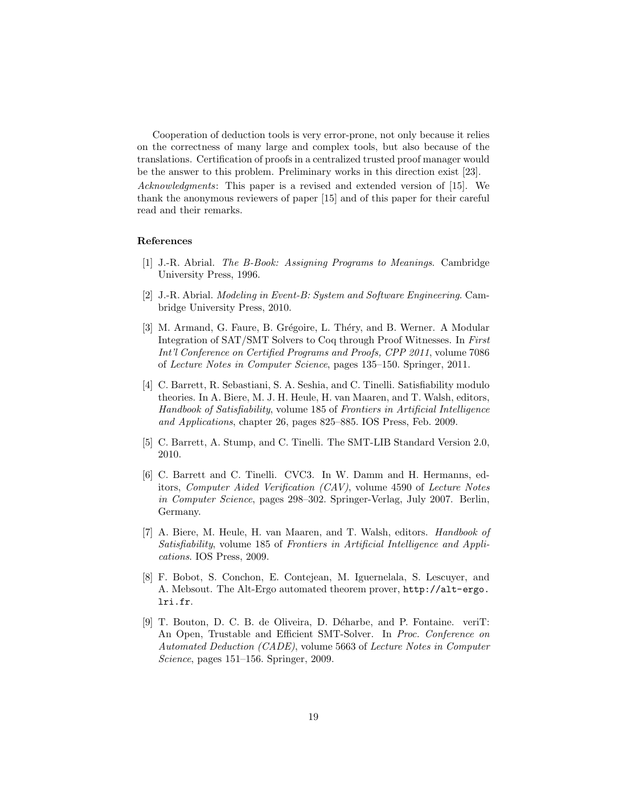Cooperation of deduction tools is very error-prone, not only because it relies on the correctness of many large and complex tools, but also because of the translations. Certification of proofs in a centralized trusted proof manager would be the answer to this problem. Preliminary works in this direction exist [23]. Acknowledgments: This paper is a revised and extended version of [15]. We thank the anonymous reviewers of paper [15] and of this paper for their careful read and their remarks.

# References

- [1] J.-R. Abrial. The B-Book: Assigning Programs to Meanings. Cambridge University Press, 1996.
- [2] J.-R. Abrial. Modeling in Event-B: System and Software Engineering. Cambridge University Press, 2010.
- [3] M. Armand, G. Faure, B. Grégoire, L. Théry, and B. Werner. A Modular Integration of SAT/SMT Solvers to Coq through Proof Witnesses. In First Int'l Conference on Certified Programs and Proofs, CPP 2011, volume 7086 of Lecture Notes in Computer Science, pages 135–150. Springer, 2011.
- [4] C. Barrett, R. Sebastiani, S. A. Seshia, and C. Tinelli. Satisfiability modulo theories. In A. Biere, M. J. H. Heule, H. van Maaren, and T. Walsh, editors, Handbook of Satisfiability, volume 185 of Frontiers in Artificial Intelligence and Applications, chapter 26, pages 825–885. IOS Press, Feb. 2009.
- [5] C. Barrett, A. Stump, and C. Tinelli. The SMT-LIB Standard Version 2.0, 2010.
- [6] C. Barrett and C. Tinelli. CVC3. In W. Damm and H. Hermanns, editors, Computer Aided Verification (CAV), volume 4590 of Lecture Notes in Computer Science, pages 298–302. Springer-Verlag, July 2007. Berlin, Germany.
- [7] A. Biere, M. Heule, H. van Maaren, and T. Walsh, editors. Handbook of Satisfiability, volume 185 of Frontiers in Artificial Intelligence and Applications. IOS Press, 2009.
- [8] F. Bobot, S. Conchon, E. Contejean, M. Iguernelala, S. Lescuyer, and A. Mebsout. The Alt-Ergo automated theorem prover, http://alt-ergo. lri.fr.
- [9] T. Bouton, D. C. B. de Oliveira, D. Déharbe, and P. Fontaine. veriT: An Open, Trustable and Efficient SMT-Solver. In Proc. Conference on Automated Deduction (CADE), volume 5663 of Lecture Notes in Computer Science, pages 151–156. Springer, 2009.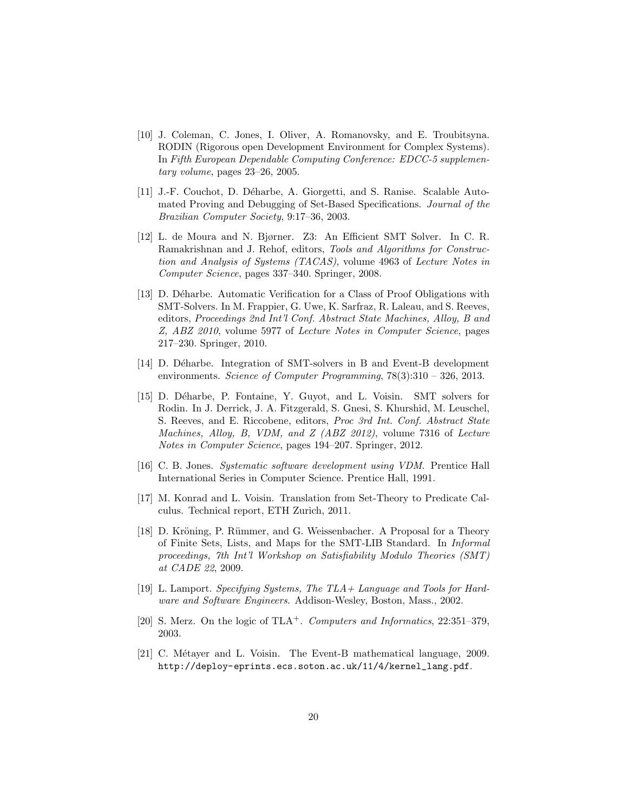- [10] J. Coleman, C. Jones, I. Oliver, A. Romanovsky, and E. Troubitsyna. RODIN (Rigorous open Development Environment for Complex Systems). In Fifth European Dependable Computing Conference: EDCC-5 supplementary volume, pages 23–26, 2005.
- [11] J.-F. Couchot, D. Déharbe, A. Giorgetti, and S. Ranise. Scalable Automated Proving and Debugging of Set-Based Specifications. Journal of the Brazilian Computer Society, 9:17–36, 2003.
- [12] L. de Moura and N. Bjørner. Z3: An Efficient SMT Solver. In C. R. Ramakrishnan and J. Rehof, editors, Tools and Algorithms for Construction and Analysis of Systems (TACAS), volume 4963 of Lecture Notes in Computer Science, pages 337–340. Springer, 2008.
- [13] D. Déharbe. Automatic Verification for a Class of Proof Obligations with SMT-Solvers. In M. Frappier, G. Uwe, K. Sarfraz, R. Laleau, and S. Reeves, editors, Proceedings 2nd Int'l Conf. Abstract State Machines, Alloy, B and Z, ABZ 2010, volume 5977 of Lecture Notes in Computer Science, pages 217–230. Springer, 2010.
- [14] D. Déharbe. Integration of SMT-solvers in B and Event-B development environments. Science of Computer Programming,  $78(3):310 - 326$ , 2013.
- [15] D. D´eharbe, P. Fontaine, Y. Guyot, and L. Voisin. SMT solvers for Rodin. In J. Derrick, J. A. Fitzgerald, S. Gnesi, S. Khurshid, M. Leuschel, S. Reeves, and E. Riccobene, editors, Proc 3rd Int. Conf. Abstract State Machines, Alloy, B, VDM, and Z (ABZ 2012), volume 7316 of Lecture Notes in Computer Science, pages 194–207. Springer, 2012.
- [16] C. B. Jones. Systematic software development using VDM. Prentice Hall International Series in Computer Science. Prentice Hall, 1991.
- [17] M. Konrad and L. Voisin. Translation from Set-Theory to Predicate Calculus. Technical report, ETH Zurich, 2011.
- [18] D. Kröning, P. Rümmer, and G. Weissenbacher. A Proposal for a Theory of Finite Sets, Lists, and Maps for the SMT-LIB Standard. In Informal proceedings, 7th Int'l Workshop on Satisfiability Modulo Theories (SMT) at CADE 22, 2009.
- [19] L. Lamport. Specifying Systems, The TLA+ Language and Tools for Hardware and Software Engineers. Addison-Wesley, Boston, Mass., 2002.
- [20] S. Merz. On the logic of  $TLA<sup>+</sup>$ . Computers and Informatics, 22:351–379, 2003.
- [21] C. Métayer and L. Voisin. The Event-B mathematical language, 2009. http://deploy-eprints.ecs.soton.ac.uk/11/4/kernel\_lang.pdf.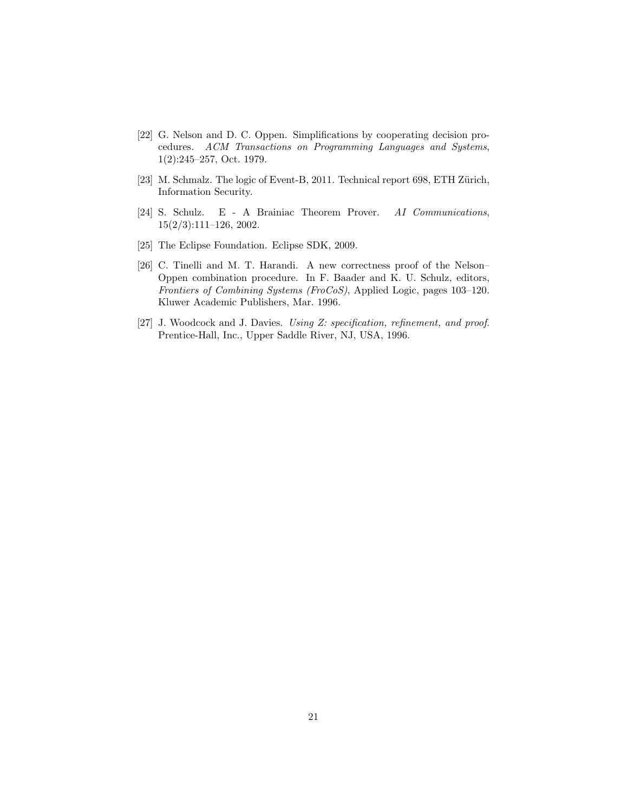- [22] G. Nelson and D. C. Oppen. Simplifications by cooperating decision procedures. ACM Transactions on Programming Languages and Systems, 1(2):245–257, Oct. 1979.
- [23] M. Schmalz. The logic of Event-B, 2011. Technical report 698, ETH Zürich, Information Security.
- [24] S. Schulz. E A Brainiac Theorem Prover. AI Communications, 15(2/3):111–126, 2002.
- [25] The Eclipse Foundation. Eclipse SDK, 2009.
- [26] C. Tinelli and M. T. Harandi. A new correctness proof of the Nelson– Oppen combination procedure. In F. Baader and K. U. Schulz, editors, Frontiers of Combining Systems (FroCoS), Applied Logic, pages 103–120. Kluwer Academic Publishers, Mar. 1996.
- [27] J. Woodcock and J. Davies. Using Z: specification, refinement, and proof. Prentice-Hall, Inc., Upper Saddle River, NJ, USA, 1996.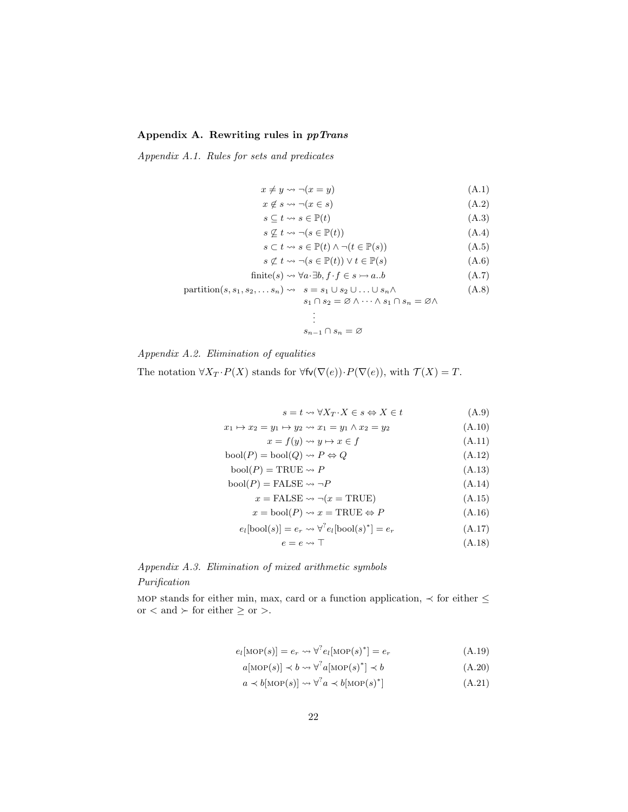# Appendix A. Rewriting rules in ppTrans

Appendix A.1. Rules for sets and predicates

$$
x \neq y \leadsto \neg(x = y) \tag{A.1}
$$

$$
x \notin s \rightsquigarrow \neg (x \in s)
$$
  
\n
$$
s \subseteq t \rightsquigarrow s \in \mathbb{P}(t)
$$
  
\n(A.3)

$$
s \subseteq t \rightsquigarrow s \in \mathbb{F}(t)
$$
\n
$$
s \nsubseteq t \rightsquigarrow \neg (s \in \mathbb{P}(t))
$$
\n
$$
(A.4)
$$

$$
s \leq t \leadsto \neg(s \in \mathbb{F}(t)) \tag{A.4}
$$
\n
$$
s \subset t \leadsto s \in \mathbb{P}(t) \land \neg(t \in \mathbb{P}(s)) \tag{A.5}
$$

$$
s \subset t \leadsto s \in \mathbb{r}(t) \land \neg(t \in \mathbb{r}(s))
$$
\n
$$
s \not\subset t \leadsto \neg(s \in \mathbb{P}(t)) \lor t \in \mathbb{P}(s)
$$
\n
$$
(A.6)
$$

$$
s \downarrow \iota \leadsto \neg(s \in \mathbb{I}(\iota)) \lor \iota \in \mathbb{I}(s) \tag{A.0}
$$
  
finite(s)  $\leadsto \forall a \cdot \exists b, f \cdot f \in s \rightarrow a \cdot b \tag{A.7}$ 

partition
$$
(s, s_1, s_2, \ldots s_n) \rightsquigarrow s = s_1 \cup s_2 \cup \ldots \cup s_n \wedge
$$
  
\n $s_1 \cap s_2 = \emptyset \wedge \cdots \wedge s_1 \cap s_n = \emptyset \wedge$   
\n $\vdots$  (A.8)

$$
\vdots
$$

$$
s_{n-1} \cap s_n = \varnothing
$$

Appendix A.2. Elimination of equalities

The notation  $\forall X_T \cdot P(X)$  stands for  $\forall f \circ (\nabla(e)) \cdot P(\nabla(e))$ , with  $\mathcal{T}(X) = T$ .

$$
s = t \rightsquigarrow \forall X_T \cdot X \in s \Leftrightarrow X \in t \tag{A.9}
$$
  
\n
$$
x_1 \mapsto x_2 = y_1 \mapsto y_2 \rightsquigarrow x_1 = y_1 \land x_2 = y_2 \tag{A.10}
$$
  
\n
$$
x = f(y) \rightsquigarrow y \mapsto x \in f \tag{A.11}
$$
  
\n
$$
bool(P) = bool(Q) \rightsquigarrow P \Leftrightarrow Q \tag{A.12}
$$
  
\n
$$
bool(P) = TRUE \rightsquigarrow P \tag{A.13}
$$
  
\n
$$
bool(P) = FALSE \rightsquigarrow \neg P \tag{A.14}
$$
  
\n
$$
x = FALSE \rightsquigarrow \neg (x = TRUE) \tag{A.15}
$$
  
\n
$$
x = bool(P) \rightsquigarrow x = TRUE \Leftrightarrow P \tag{A.16}
$$
  
\n
$$
e_l[bool(s)] = e_r \rightsquigarrow \forall^? e_l[bool(s)^*] = e_r \tag{A.17}
$$
  
\n
$$
e = e \rightsquigarrow \top \tag{A.18}
$$

Appendix A.3. Elimination of mixed arithmetic symbols Purification

MOP stands for either min, max, card or a function application,  $\prec$  for either  $\leq$ or  $<$  and  $\succ$  for either  $\geq$  or  $>.$ 

$$
e_l[\text{MOP}(s)] = e_r \rightsquigarrow \forall^? e_l[\text{MOP}(s)^*] = e_r
$$
\n(A.19)

$$
a[\text{MOP}(s)] \prec b \leadsto \forall^? a[\text{MOP}(s)^*] \prec b \tag{A.20}
$$

$$
a \prec b[\text{MOP}(s)] \leadsto \forall^? a \prec b[\text{MOP}(s)^*]
$$
 (A.21)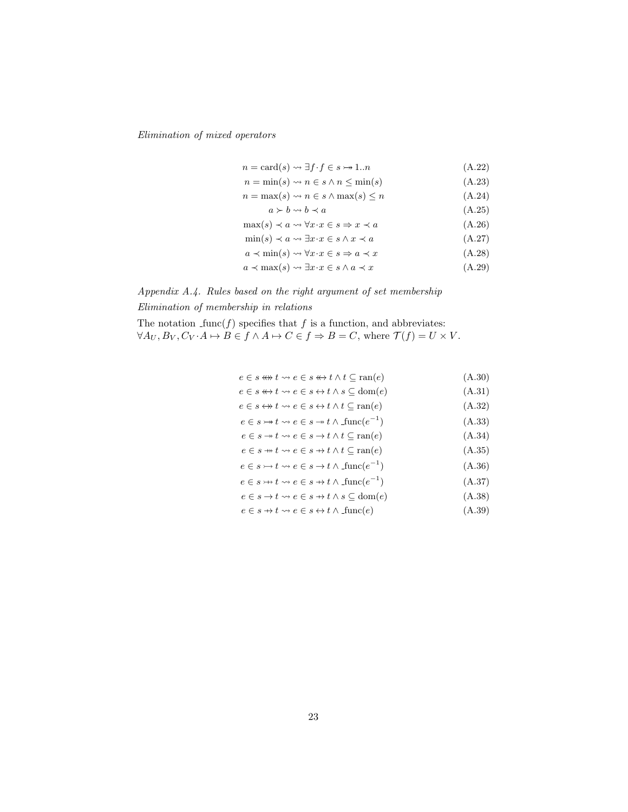Elimination of mixed operators

$$
n = \text{card}(s) \rightsquigarrow \exists f \cdot f \in s \rightarrow 1..n
$$
\n
$$
n = \min(s) \rightsquigarrow n \in s \land n \le \min(s)
$$
\n
$$
n = \max(s) \rightsquigarrow n \in s \land \max(s) \le n
$$
\n(A.23)\n
$$
(A.24)
$$

$$
a \succ b \rightsquigarrow b \prec a \qquad (A.25)
$$
  
\n
$$
\max(s) \prec a \rightsquigarrow \forall x \cdot x \in s \Rightarrow x \prec a \qquad (A.26)
$$
  
\n
$$
\min(s) \prec a \rightsquigarrow \exists x \cdot x \in s \land x \prec a \qquad (A.27)
$$
  
\n
$$
a \prec \min(s) \rightsquigarrow \forall x \cdot x \in s \Rightarrow a \prec x \qquad (A.28)
$$
  
\n
$$
a \prec \max(s) \rightsquigarrow \exists x \cdot x \in s \land a \prec x \qquad (A.29)
$$

Appendix A.4. Rules based on the right argument of set membership Elimination of membership in relations

The notation  $\text{func}(f)$  specifies that f is a function, and abbreviates:  $\forall A_U, B_V, C_V \cdot A \mapsto B \in f \wedge A \mapsto C \in f \Rightarrow B = C$ , where  $\mathcal{T}(f) = U \times V$ .

$$
e \in s \Leftrightarrow t \rightsquigarrow e \in s \Leftrightarrow t \land t \subseteq \text{ran}(e) \tag{A.30}
$$
  
\n
$$
e \in s \Leftrightarrow t \rightsquigarrow e \in s \leftrightarrow t \land s \subseteq \text{dom}(e) \tag{A.31}
$$
  
\n
$$
e \in s \leftrightarrow t \rightsquigarrow e \in s \leftrightarrow t \land t \subseteq \text{ran}(e) \tag{A.32}
$$
  
\n
$$
e \in s \rightarrow t \rightsquigarrow e \in s \rightarrow t \land \text{func}(e^{-1}) \tag{A.33}
$$
  
\n
$$
e \in s \rightarrow t \rightsquigarrow e \in s \rightarrow t \land t \subseteq \text{ran}(e) \tag{A.34}
$$
  
\n
$$
e \in s \rightarrow t \rightsquigarrow e \in s \rightarrow t \land t \subseteq \text{ran}(e) \tag{A.35}
$$
  
\n
$$
e \in s \rightarrow t \rightsquigarrow e \in s \rightarrow t \land \text{func}(e^{-1}) \tag{A.36}
$$
  
\n
$$
e \in s \rightarrow t \rightsquigarrow e \in s \rightarrow t \land \text{func}(e^{-1}) \tag{A.37}
$$
  
\n
$$
e \in s \rightarrow t \rightsquigarrow e \in s \rightarrow t \land s \subseteq \text{dom}(e) \tag{A.38}
$$
  
\n
$$
e \in s \rightarrow t \rightsquigarrow e \in s \leftrightarrow t \land s \subseteq \text{dom}(e) \tag{A.39}
$$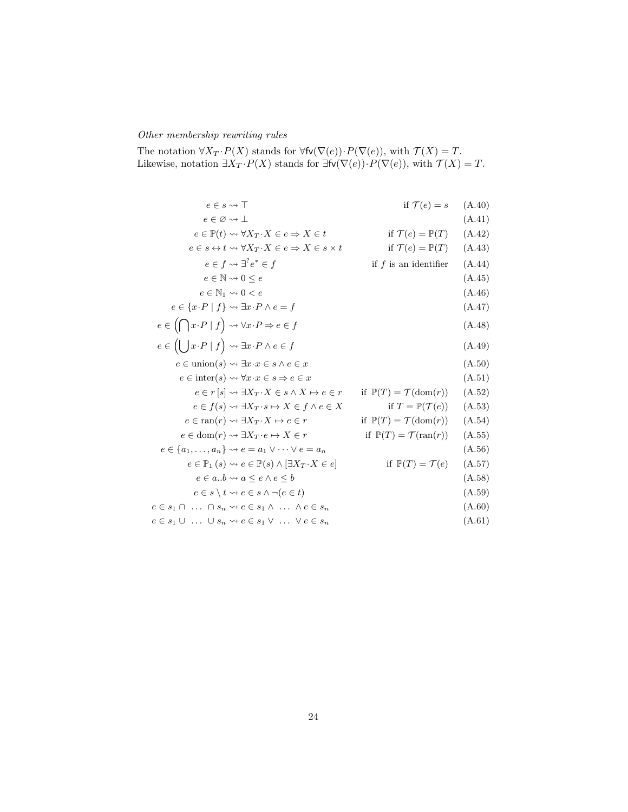# Other membership rewriting rules

The notation  $\forall X_T \cdot P(X)$  stands for  $\forall \text{fv}(\nabla(e)) \cdot P(\nabla(e))$ , with  $\mathcal{T}(X) = T$ . Likewise, notation  $\exists X_T \cdot P(X)$  stands for  $\exists \mathsf{fv}(\nabla(e)) \cdot P(\nabla(e))$ , with  $\mathcal{T}(X) = T$ .

| $e \in s \leadsto \top$                                                                        | if $\mathcal{T}(e) = s$                         | (A.40) |
|------------------------------------------------------------------------------------------------|-------------------------------------------------|--------|
| $e \in \varnothing \rightsquigarrow \bot$                                                      |                                                 | (A.41) |
| $e \in \mathbb{P}(t) \rightsquigarrow \forall X_T \cdot X \in e \Rightarrow X \in t$           | if $\mathcal{T}(e) = \mathbb{P}(T)$             | (A.42) |
| $e \in s \leftrightarrow t \leadsto \forall X_T \cdot X \in e \Rightarrow X \in s \times t$    | if $\mathcal{T}(e) = \mathbb{P}(T)$             | (A.43) |
| $e \in f \rightsquigarrow \exists^? e^* \in f$                                                 | if $f$ is an identifier                         | (A.44) |
| $e \in \mathbb{N} \rightsquigarrow 0 \leq e$                                                   |                                                 | (A.45) |
| $e \in \mathbb{N}_1 \rightsquigarrow 0 < e$                                                    |                                                 | (A.46) |
| $e \in \{x \cdot P \mid f\} \leadsto \exists x \cdot P \land e = f$                            |                                                 | (A.47) |
| $e \in (\bigcap x \cdot P \mid f) \rightsquigarrow \forall x \cdot P \Rightarrow e \in f$      |                                                 | (A.48) |
| $e \in \left(\bigcup x \cdot P \mid f\right) \rightsquigarrow \exists x \cdot P \land e \in f$ |                                                 | (A.49) |
| $e \in \text{union}(s) \rightsquigarrow \exists x \cdot x \in s \land e \in x$                 |                                                 | (A.50) |
| $e \in \text{inter}(s) \leadsto \forall x \cdot x \in s \Rightarrow e \in x$                   |                                                 | (A.51) |
| $e \in r [s] \rightarrow \exists X_T \cdot X \in s \wedge X \mapsto e \in r$                   | if $\mathbb{P}(T) = \mathcal{T}(\text{dom}(r))$ | (A.52) |
| $e \in f(s) \rightsquigarrow \exists X_T \cdot s \mapsto X \in f \land e \in X$                | if $T = \mathbb{P}(\mathcal{T}(e))$             | (A.53) |
| $e \in \text{ran}(r) \rightsquigarrow \exists X_T \cdot X \mapsto e \in r$                     | if $\mathbb{P}(T) = \mathcal{T}(\text{dom}(r))$ | (A.54) |
| $e \in \text{dom}(r) \rightsquigarrow \exists X_T \cdot e \mapsto X \in r$                     | if $\mathbb{P}(T) = \mathcal{T}(\text{ran}(r))$ | (A.55) |
| $e \in \{a_1, \ldots, a_n\} \rightsquigarrow e = a_1 \vee \cdots \vee e = a_n$                 |                                                 | (A.56) |
| $e \in \mathbb{P}_1(s) \rightsquigarrow e \in \mathbb{P}(s) \land [\exists X_T \cdot X \in e]$ | if $\mathbb{P}(T) = \mathcal{T}(e)$             | (A.57) |
| $e \in a \ldotp b \leadsto a \leq e \land e \leq b$                                            |                                                 | (A.58) |
| $e \in s \setminus t \leadsto e \in s \land \neg(e \in t)$                                     |                                                 | (A.59) |
| $e \in s_1 \cap \ldots \cap s_n \rightsquigarrow e \in s_1 \land \ldots \land e \in s_n$       |                                                 | (A.60) |
| $e \in s_1 \cup \ldots \cup s_n \rightsquigarrow e \in s_1 \vee \ldots \vee e \in s_n$         |                                                 | (A.61) |